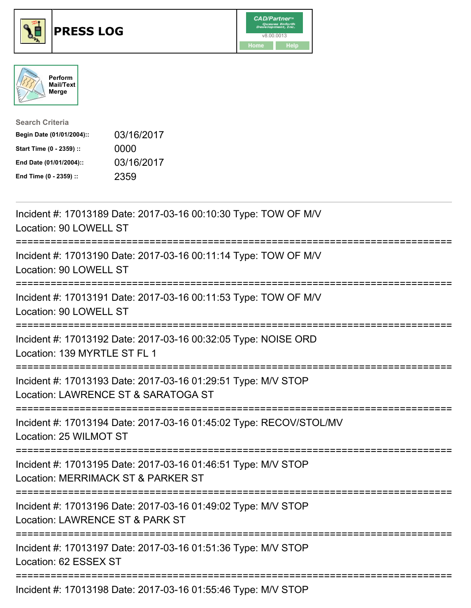





| <b>Search Criteria</b>    |            |
|---------------------------|------------|
| Begin Date (01/01/2004):: | 03/16/2017 |
| Start Time (0 - 2359) ::  | 0000       |
| End Date (01/01/2004)::   | 03/16/2017 |
| End Time (0 - 2359) ::    | 2359       |

| Incident #: 17013189 Date: 2017-03-16 00:10:30 Type: TOW OF M/V<br>Location: 90 LOWELL ST                                          |
|------------------------------------------------------------------------------------------------------------------------------------|
| Incident #: 17013190 Date: 2017-03-16 00:11:14 Type: TOW OF M/V<br>Location: 90 LOWELL ST                                          |
| Incident #: 17013191 Date: 2017-03-16 00:11:53 Type: TOW OF M/V<br>Location: 90 LOWELL ST                                          |
| Incident #: 17013192 Date: 2017-03-16 00:32:05 Type: NOISE ORD<br>Location: 139 MYRTLE ST FL 1                                     |
| Incident #: 17013193 Date: 2017-03-16 01:29:51 Type: M/V STOP<br>Location: LAWRENCE ST & SARATOGA ST                               |
| Incident #: 17013194 Date: 2017-03-16 01:45:02 Type: RECOV/STOL/MV<br>Location: 25 WILMOT ST<br>---------------------------------- |
| Incident #: 17013195 Date: 2017-03-16 01:46:51 Type: M/V STOP<br>Location: MERRIMACK ST & PARKER ST<br>========================    |
| Incident #: 17013196 Date: 2017-03-16 01:49:02 Type: M/V STOP<br>Location: LAWRENCE ST & PARK ST                                   |
| Incident #: 17013197 Date: 2017-03-16 01:51:36 Type: M/V STOP<br>Location: 62 ESSEX ST                                             |
| Incident #: 17013198 Date: 2017-03-16 01:55:46 Type: M/V STOP                                                                      |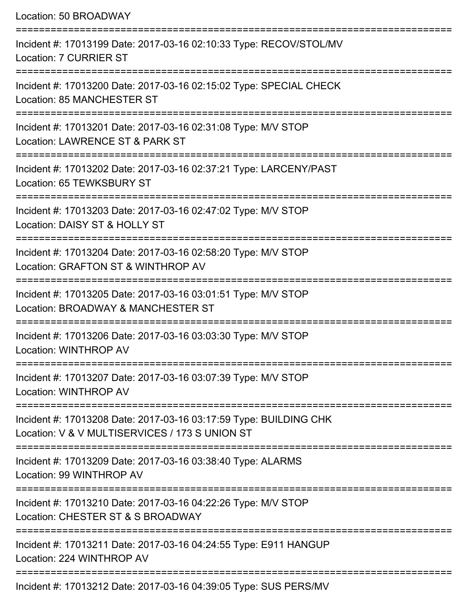Location: 50 BROADWAY =========================================================================== Incident #: 17013199 Date: 2017-03-16 02:10:33 Type: RECOV/STOL/MV Location: 7 CURRIER ST ===========================================================================

Incident #: 17013200 Date: 2017-03-16 02:15:02 Type: SPECIAL CHECK Location: 85 MANCHESTER ST

===========================================================================

Incident #: 17013201 Date: 2017-03-16 02:31:08 Type: M/V STOP

Location: LAWRENCE ST & PARK ST

===========================================================================

Incident #: 17013202 Date: 2017-03-16 02:37:21 Type: LARCENY/PAST

Location: 65 TEWKSBURY ST

===========================================================================

Incident #: 17013203 Date: 2017-03-16 02:47:02 Type: M/V STOP Location: DAISY ST & HOLLY ST

===========================================================================

Incident #: 17013204 Date: 2017-03-16 02:58:20 Type: M/V STOP Location: GRAFTON ST & WINTHROP AV

===========================================================================

Incident #: 17013205 Date: 2017-03-16 03:01:51 Type: M/V STOP

Location: BROADWAY & MANCHESTER ST

===========================================================================

Incident #: 17013206 Date: 2017-03-16 03:03:30 Type: M/V STOP

Location: WINTHROP AV

===========================================================================

Incident #: 17013207 Date: 2017-03-16 03:07:39 Type: M/V STOP Location: WINTHROP AV

===========================================================================

Incident #: 17013208 Date: 2017-03-16 03:17:59 Type: BUILDING CHK Location: V & V MULTISERVICES / 173 S UNION ST

===========================================================================

Incident #: 17013209 Date: 2017-03-16 03:38:40 Type: ALARMS Location: 99 WINTHROP AV

===========================================================================

Incident #: 17013210 Date: 2017-03-16 04:22:26 Type: M/V STOP

Location: CHESTER ST & S BROADWAY

===========================================================================

Incident #: 17013211 Date: 2017-03-16 04:24:55 Type: E911 HANGUP

Location: 224 WINTHROP AV

===========================================================================

Incident #: 17013212 Date: 2017-03-16 04:39:05 Type: SUS PERS/MV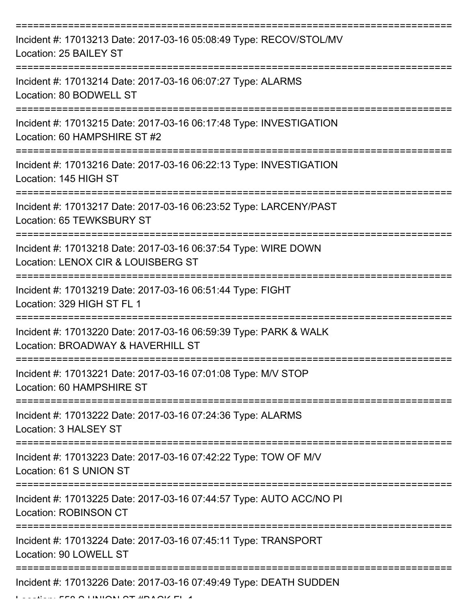| Incident #: 17013213 Date: 2017-03-16 05:08:49 Type: RECOV/STOL/MV<br>Location: 25 BAILEY ST          |
|-------------------------------------------------------------------------------------------------------|
| Incident #: 17013214 Date: 2017-03-16 06:07:27 Type: ALARMS<br>Location: 80 BODWELL ST                |
| Incident #: 17013215 Date: 2017-03-16 06:17:48 Type: INVESTIGATION<br>Location: 60 HAMPSHIRE ST #2    |
| Incident #: 17013216 Date: 2017-03-16 06:22:13 Type: INVESTIGATION<br>Location: 145 HIGH ST           |
| Incident #: 17013217 Date: 2017-03-16 06:23:52 Type: LARCENY/PAST<br>Location: 65 TEWKSBURY ST        |
| Incident #: 17013218 Date: 2017-03-16 06:37:54 Type: WIRE DOWN<br>Location: LENOX CIR & LOUISBERG ST  |
| Incident #: 17013219 Date: 2017-03-16 06:51:44 Type: FIGHT<br>Location: 329 HIGH ST FL 1              |
| Incident #: 17013220 Date: 2017-03-16 06:59:39 Type: PARK & WALK<br>Location: BROADWAY & HAVERHILL ST |
| Incident #: 17013221 Date: 2017-03-16 07:01:08 Type: M/V STOP<br>Location: 60 HAMPSHIRE ST            |
| Incident #: 17013222 Date: 2017-03-16 07:24:36 Type: ALARMS<br>Location: 3 HALSEY ST                  |
| Incident #: 17013223 Date: 2017-03-16 07:42:22 Type: TOW OF M/V<br>Location: 61 S UNION ST            |
| Incident #: 17013225 Date: 2017-03-16 07:44:57 Type: AUTO ACC/NO PI<br><b>Location: ROBINSON CT</b>   |
| Incident #: 17013224 Date: 2017-03-16 07:45:11 Type: TRANSPORT<br>Location: 90 LOWELL ST              |
| Incident #: 17013226 Date: 2017-03-16 07:49:49 Type: DEATH SUDDEN                                     |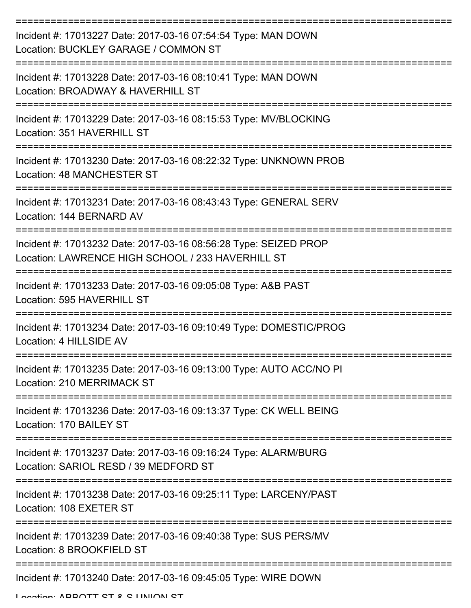| Incident #: 17013227 Date: 2017-03-16 07:54:54 Type: MAN DOWN<br>Location: BUCKLEY GARAGE / COMMON ST                 |
|-----------------------------------------------------------------------------------------------------------------------|
| Incident #: 17013228 Date: 2017-03-16 08:10:41 Type: MAN DOWN<br>Location: BROADWAY & HAVERHILL ST                    |
| Incident #: 17013229 Date: 2017-03-16 08:15:53 Type: MV/BLOCKING<br>Location: 351 HAVERHILL ST                        |
| Incident #: 17013230 Date: 2017-03-16 08:22:32 Type: UNKNOWN PROB<br>Location: 48 MANCHESTER ST                       |
| Incident #: 17013231 Date: 2017-03-16 08:43:43 Type: GENERAL SERV<br>Location: 144 BERNARD AV                         |
| Incident #: 17013232 Date: 2017-03-16 08:56:28 Type: SEIZED PROP<br>Location: LAWRENCE HIGH SCHOOL / 233 HAVERHILL ST |
| Incident #: 17013233 Date: 2017-03-16 09:05:08 Type: A&B PAST<br>Location: 595 HAVERHILL ST                           |
| Incident #: 17013234 Date: 2017-03-16 09:10:49 Type: DOMESTIC/PROG<br>Location: 4 HILLSIDE AV                         |
| Incident #: 17013235 Date: 2017-03-16 09:13:00 Type: AUTO ACC/NO PI<br>Location: 210 MERRIMACK ST                     |
| Incident #: 17013236 Date: 2017-03-16 09:13:37 Type: CK WELL BEING<br>Location: 170 BAILEY ST                         |
| Incident #: 17013237 Date: 2017-03-16 09:16:24 Type: ALARM/BURG<br>Location: SARIOL RESD / 39 MEDFORD ST              |
| Incident #: 17013238 Date: 2017-03-16 09:25:11 Type: LARCENY/PAST<br>Location: 108 EXETER ST                          |
| Incident #: 17013239 Date: 2017-03-16 09:40:38 Type: SUS PERS/MV<br>Location: 8 BROOKFIELD ST                         |
| Incident #: 17013240 Date: 2017-03-16 09:45:05 Type: WIRE DOWN                                                        |

Location: ABBOTT CT & C LINIION CT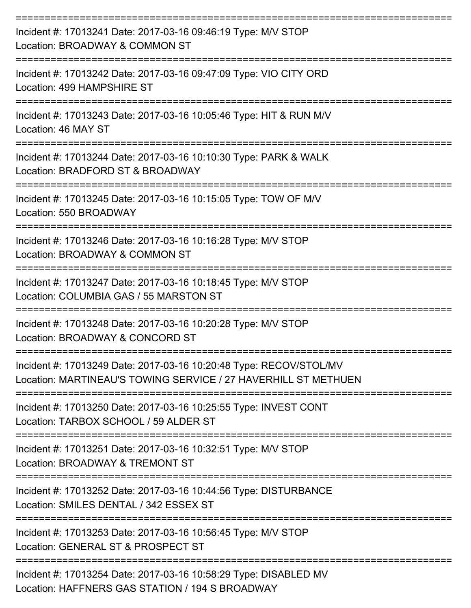| Incident #: 17013241 Date: 2017-03-16 09:46:19 Type: M/V STOP<br>Location: BROADWAY & COMMON ST                                      |
|--------------------------------------------------------------------------------------------------------------------------------------|
| Incident #: 17013242 Date: 2017-03-16 09:47:09 Type: VIO CITY ORD<br>Location: 499 HAMPSHIRE ST                                      |
| Incident #: 17013243 Date: 2017-03-16 10:05:46 Type: HIT & RUN M/V<br>Location: 46 MAY ST                                            |
| Incident #: 17013244 Date: 2017-03-16 10:10:30 Type: PARK & WALK<br>Location: BRADFORD ST & BROADWAY                                 |
| Incident #: 17013245 Date: 2017-03-16 10:15:05 Type: TOW OF M/V<br>Location: 550 BROADWAY                                            |
| Incident #: 17013246 Date: 2017-03-16 10:16:28 Type: M/V STOP<br>Location: BROADWAY & COMMON ST                                      |
| Incident #: 17013247 Date: 2017-03-16 10:18:45 Type: M/V STOP<br>Location: COLUMBIA GAS / 55 MARSTON ST                              |
| Incident #: 17013248 Date: 2017-03-16 10:20:28 Type: M/V STOP<br>Location: BROADWAY & CONCORD ST                                     |
| Incident #: 17013249 Date: 2017-03-16 10:20:48 Type: RECOV/STOL/MV<br>Location: MARTINEAU'S TOWING SERVICE / 27 HAVERHILL ST METHUEN |
| Incident #: 17013250 Date: 2017-03-16 10:25:55 Type: INVEST CONT<br>Location: TARBOX SCHOOL / 59 ALDER ST                            |
| Incident #: 17013251 Date: 2017-03-16 10:32:51 Type: M/V STOP<br>Location: BROADWAY & TREMONT ST                                     |
| Incident #: 17013252 Date: 2017-03-16 10:44:56 Type: DISTURBANCE<br>Location: SMILES DENTAL / 342 ESSEX ST                           |
| Incident #: 17013253 Date: 2017-03-16 10:56:45 Type: M/V STOP<br>Location: GENERAL ST & PROSPECT ST                                  |
| Incident #: 17013254 Date: 2017-03-16 10:58:29 Type: DISABLED MV                                                                     |

Location: HAFFNERS GAS STATION / 194 S BROADWAY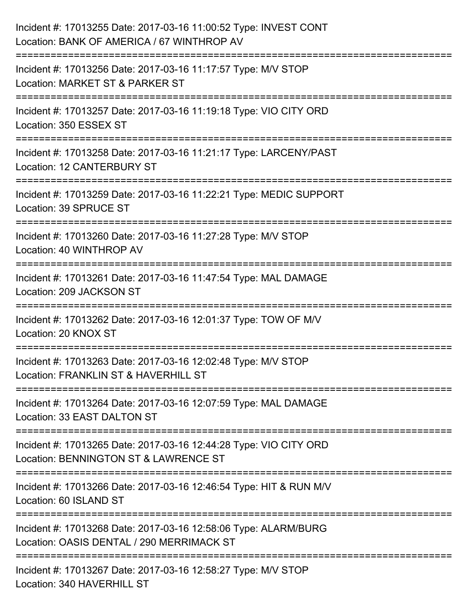| Incident #: 17013255 Date: 2017-03-16 11:00:52 Type: INVEST CONT<br>Location: BANK OF AMERICA / 67 WINTHROP AV                    |
|-----------------------------------------------------------------------------------------------------------------------------------|
| Incident #: 17013256 Date: 2017-03-16 11:17:57 Type: M/V STOP<br>Location: MARKET ST & PARKER ST                                  |
| Incident #: 17013257 Date: 2017-03-16 11:19:18 Type: VIO CITY ORD<br>Location: 350 ESSEX ST                                       |
| Incident #: 17013258 Date: 2017-03-16 11:21:17 Type: LARCENY/PAST<br>Location: 12 CANTERBURY ST                                   |
| Incident #: 17013259 Date: 2017-03-16 11:22:21 Type: MEDIC SUPPORT<br>Location: 39 SPRUCE ST<br>================================= |
| Incident #: 17013260 Date: 2017-03-16 11:27:28 Type: M/V STOP<br>Location: 40 WINTHROP AV<br>-------------------                  |
| Incident #: 17013261 Date: 2017-03-16 11:47:54 Type: MAL DAMAGE<br>Location: 209 JACKSON ST                                       |
| Incident #: 17013262 Date: 2017-03-16 12:01:37 Type: TOW OF M/V<br>Location: 20 KNOX ST                                           |
| Incident #: 17013263 Date: 2017-03-16 12:02:48 Type: M/V STOP<br>Location: FRANKLIN ST & HAVERHILL ST                             |
| Incident #: 17013264 Date: 2017-03-16 12:07:59 Type: MAL DAMAGE<br>Location: 33 EAST DALTON ST                                    |
| Incident #: 17013265 Date: 2017-03-16 12:44:28 Type: VIO CITY ORD<br>Location: BENNINGTON ST & LAWRENCE ST                        |
| Incident #: 17013266 Date: 2017-03-16 12:46:54 Type: HIT & RUN M/V<br>Location: 60 ISLAND ST                                      |
| Incident #: 17013268 Date: 2017-03-16 12:58:06 Type: ALARM/BURG<br>Location: OASIS DENTAL / 290 MERRIMACK ST                      |
| Incident #: 17013267 Date: 2017-03-16 12:58:27 Type: M/V STOP<br>Location: 340 HAVERHILL ST                                       |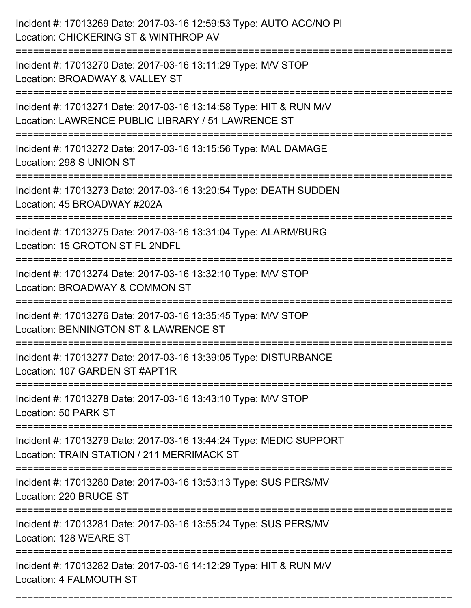| Incident #: 17013269 Date: 2017-03-16 12:59:53 Type: AUTO ACC/NO PI<br>Location: CHICKERING ST & WINTHROP AV                                       |
|----------------------------------------------------------------------------------------------------------------------------------------------------|
| ====================<br>Incident #: 17013270 Date: 2017-03-16 13:11:29 Type: M/V STOP<br>Location: BROADWAY & VALLEY ST                            |
| Incident #: 17013271 Date: 2017-03-16 13:14:58 Type: HIT & RUN M/V<br>Location: LAWRENCE PUBLIC LIBRARY / 51 LAWRENCE ST                           |
| Incident #: 17013272 Date: 2017-03-16 13:15:56 Type: MAL DAMAGE<br>Location: 298 S UNION ST                                                        |
| Incident #: 17013273 Date: 2017-03-16 13:20:54 Type: DEATH SUDDEN<br>Location: 45 BROADWAY #202A                                                   |
| Incident #: 17013275 Date: 2017-03-16 13:31:04 Type: ALARM/BURG<br>Location: 15 GROTON ST FL 2NDFL                                                 |
| Incident #: 17013274 Date: 2017-03-16 13:32:10 Type: M/V STOP<br>Location: BROADWAY & COMMON ST                                                    |
| Incident #: 17013276 Date: 2017-03-16 13:35:45 Type: M/V STOP<br>Location: BENNINGTON ST & LAWRENCE ST                                             |
| Incident #: 17013277 Date: 2017-03-16 13:39:05 Type: DISTURBANCE<br>Location: 107 GARDEN ST #APT1R                                                 |
| Incident #: 17013278 Date: 2017-03-16 13:43:10 Type: M/V STOP<br>Location: 50 PARK ST                                                              |
| ==============================<br>Incident #: 17013279 Date: 2017-03-16 13:44:24 Type: MEDIC SUPPORT<br>Location: TRAIN STATION / 211 MERRIMACK ST |
| Incident #: 17013280 Date: 2017-03-16 13:53:13 Type: SUS PERS/MV<br>Location: 220 BRUCE ST                                                         |
| Incident #: 17013281 Date: 2017-03-16 13:55:24 Type: SUS PERS/MV<br>Location: 128 WEARE ST                                                         |
| Incident #: 17013282 Date: 2017-03-16 14:12:29 Type: HIT & RUN M/V<br>Location: 4 FALMOUTH ST                                                      |

===========================================================================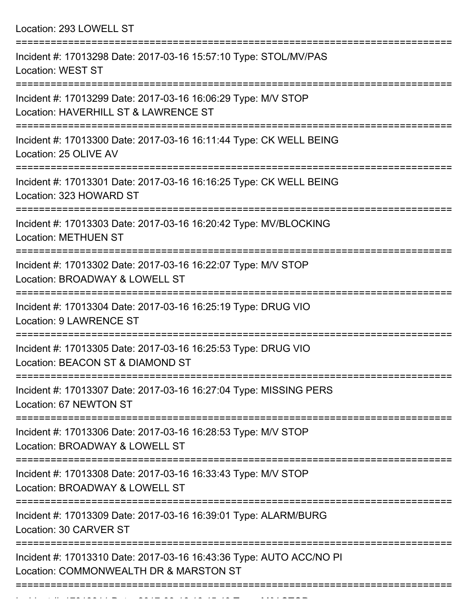Location: 293 LOWELL ST

| Incident #: 17013298 Date: 2017-03-16 15:57:10 Type: STOL/MV/PAS<br><b>Location: WEST ST</b>                        |
|---------------------------------------------------------------------------------------------------------------------|
| Incident #: 17013299 Date: 2017-03-16 16:06:29 Type: M/V STOP<br>Location: HAVERHILL ST & LAWRENCE ST               |
| Incident #: 17013300 Date: 2017-03-16 16:11:44 Type: CK WELL BEING<br>Location: 25 OLIVE AV                         |
| Incident #: 17013301 Date: 2017-03-16 16:16:25 Type: CK WELL BEING<br>Location: 323 HOWARD ST                       |
| Incident #: 17013303 Date: 2017-03-16 16:20:42 Type: MV/BLOCKING<br><b>Location: METHUEN ST</b>                     |
| Incident #: 17013302 Date: 2017-03-16 16:22:07 Type: M/V STOP<br>Location: BROADWAY & LOWELL ST                     |
| Incident #: 17013304 Date: 2017-03-16 16:25:19 Type: DRUG VIO<br><b>Location: 9 LAWRENCE ST</b>                     |
| Incident #: 17013305 Date: 2017-03-16 16:25:53 Type: DRUG VIO<br>Location: BEACON ST & DIAMOND ST                   |
| Incident #: 17013307 Date: 2017-03-16 16:27:04 Type: MISSING PERS<br>Location: 67 NEWTON ST                         |
| :===============<br>Incident #: 17013306 Date: 2017-03-16 16:28:53 Type: M/V STOP<br>Location: BROADWAY & LOWELL ST |
| Incident #: 17013308 Date: 2017-03-16 16:33:43 Type: M/V STOP<br>Location: BROADWAY & LOWELL ST                     |
| Incident #: 17013309 Date: 2017-03-16 16:39:01 Type: ALARM/BURG<br>Location: 30 CARVER ST                           |
| Incident #: 17013310 Date: 2017-03-16 16:43:36 Type: AUTO ACC/NO PI<br>Location: COMMONWEALTH DR & MARSTON ST       |
|                                                                                                                     |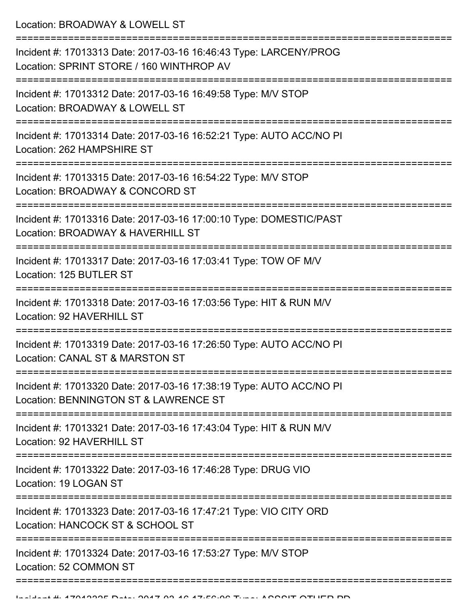Location: BROADWAY & LOWELL ST

| Incident #: 17013313 Date: 2017-03-16 16:46:43 Type: LARCENY/PROG<br>Location: SPRINT STORE / 160 WINTHROP AV<br>=============================== |
|--------------------------------------------------------------------------------------------------------------------------------------------------|
| Incident #: 17013312 Date: 2017-03-16 16:49:58 Type: M/V STOP<br>Location: BROADWAY & LOWELL ST                                                  |
| Incident #: 17013314 Date: 2017-03-16 16:52:21 Type: AUTO ACC/NO PI<br>Location: 262 HAMPSHIRE ST                                                |
| Incident #: 17013315 Date: 2017-03-16 16:54:22 Type: M/V STOP<br>Location: BROADWAY & CONCORD ST                                                 |
| Incident #: 17013316 Date: 2017-03-16 17:00:10 Type: DOMESTIC/PAST<br>Location: BROADWAY & HAVERHILL ST                                          |
| Incident #: 17013317 Date: 2017-03-16 17:03:41 Type: TOW OF M/V<br>Location: 125 BUTLER ST                                                       |
| Incident #: 17013318 Date: 2017-03-16 17:03:56 Type: HIT & RUN M/V<br>Location: 92 HAVERHILL ST                                                  |
| Incident #: 17013319 Date: 2017-03-16 17:26:50 Type: AUTO ACC/NO PI<br>Location: CANAL ST & MARSTON ST                                           |
| Incident #: 17013320 Date: 2017-03-16 17:38:19 Type: AUTO ACC/NO PI<br>Location: BENNINGTON ST & LAWRENCE ST                                     |
| Incident #: 17013321 Date: 2017-03-16 17:43:04 Type: HIT & RUN M/V<br>Location: 92 HAVERHILL ST                                                  |
| Incident #: 17013322 Date: 2017-03-16 17:46:28 Type: DRUG VIO<br>Location: 19 LOGAN ST                                                           |
| Incident #: 17013323 Date: 2017-03-16 17:47:21 Type: VIO CITY ORD<br>Location: HANCOCK ST & SCHOOL ST                                            |
| Incident #: 17013324 Date: 2017-03-16 17:53:27 Type: M/V STOP<br>Location: 52 COMMON ST                                                          |
|                                                                                                                                                  |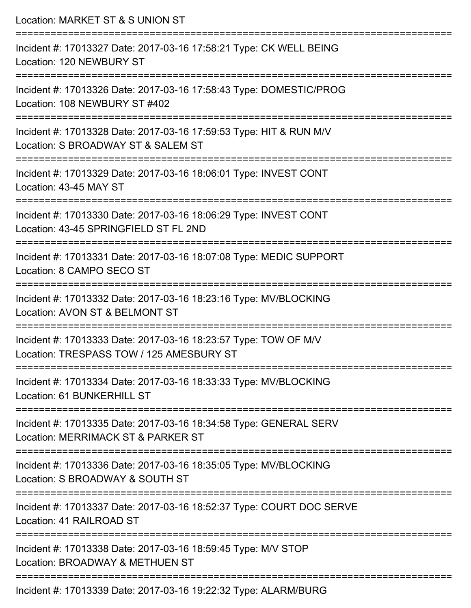| Location: MARKET ST & S UNION ST                                                                                                                                     |
|----------------------------------------------------------------------------------------------------------------------------------------------------------------------|
| Incident #: 17013327 Date: 2017-03-16 17:58:21 Type: CK WELL BEING<br>Location: 120 NEWBURY ST<br>:==========================                                        |
| Incident #: 17013326 Date: 2017-03-16 17:58:43 Type: DOMESTIC/PROG<br>Location: 108 NEWBURY ST #402                                                                  |
| Incident #: 17013328 Date: 2017-03-16 17:59:53 Type: HIT & RUN M/V<br>Location: S BROADWAY ST & SALEM ST<br>=================================                        |
| Incident #: 17013329 Date: 2017-03-16 18:06:01 Type: INVEST CONT<br>Location: 43-45 MAY ST                                                                           |
| Incident #: 17013330 Date: 2017-03-16 18:06:29 Type: INVEST CONT<br>Location: 43-45 SPRINGFIELD ST FL 2ND<br>------------------                                      |
| Incident #: 17013331 Date: 2017-03-16 18:07:08 Type: MEDIC SUPPORT<br>Location: 8 CAMPO SECO ST                                                                      |
| Incident #: 17013332 Date: 2017-03-16 18:23:16 Type: MV/BLOCKING<br>Location: AVON ST & BELMONT ST                                                                   |
| ===========<br>Incident #: 17013333 Date: 2017-03-16 18:23:57 Type: TOW OF M/V<br>Location: TRESPASS TOW / 125 AMESBURY ST<br>====================================== |
| Incident #: 17013334 Date: 2017-03-16 18:33:33 Type: MV/BLOCKING<br>Location: 61 BUNKERHILL ST                                                                       |
| Incident #: 17013335 Date: 2017-03-16 18:34:58 Type: GENERAL SERV<br>Location: MERRIMACK ST & PARKER ST                                                              |
| Incident #: 17013336 Date: 2017-03-16 18:35:05 Type: MV/BLOCKING<br>Location: S BROADWAY & SOUTH ST                                                                  |
| Incident #: 17013337 Date: 2017-03-16 18:52:37 Type: COURT DOC SERVE<br>Location: 41 RAILROAD ST                                                                     |
| Incident #: 17013338 Date: 2017-03-16 18:59:45 Type: M/V STOP<br>Location: BROADWAY & METHUEN ST                                                                     |
| Incident #: 17013339 Date: 2017-03-16 19:22:32 Type: ALARM/BURG                                                                                                      |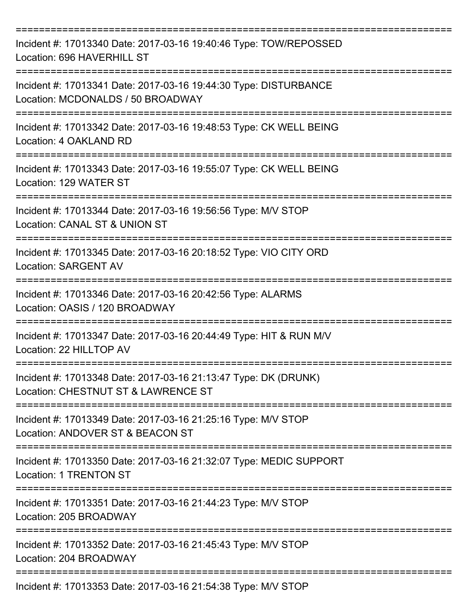| Incident #: 17013340 Date: 2017-03-16 19:40:46 Type: TOW/REPOSSED<br>Location: 696 HAVERHILL ST                                      |
|--------------------------------------------------------------------------------------------------------------------------------------|
| Incident #: 17013341 Date: 2017-03-16 19:44:30 Type: DISTURBANCE<br>Location: MCDONALDS / 50 BROADWAY                                |
| Incident #: 17013342 Date: 2017-03-16 19:48:53 Type: CK WELL BEING<br>Location: 4 OAKLAND RD<br>-----------------------------        |
| Incident #: 17013343 Date: 2017-03-16 19:55:07 Type: CK WELL BEING<br>Location: 129 WATER ST                                         |
| ==================================<br>Incident #: 17013344 Date: 2017-03-16 19:56:56 Type: M/V STOP<br>Location: CANAL ST & UNION ST |
| Incident #: 17013345 Date: 2017-03-16 20:18:52 Type: VIO CITY ORD<br><b>Location: SARGENT AV</b>                                     |
| Incident #: 17013346 Date: 2017-03-16 20:42:56 Type: ALARMS<br>Location: OASIS / 120 BROADWAY                                        |
| Incident #: 17013347 Date: 2017-03-16 20:44:49 Type: HIT & RUN M/V<br>Location: 22 HILLTOP AV                                        |
| Incident #: 17013348 Date: 2017-03-16 21:13:47 Type: DK (DRUNK)<br>Location: CHESTNUT ST & LAWRENCE ST                               |
| Incident #: 17013349 Date: 2017-03-16 21:25:16 Type: M/V STOP<br>Location: ANDOVER ST & BEACON ST                                    |
| Incident #: 17013350 Date: 2017-03-16 21:32:07 Type: MEDIC SUPPORT<br>Location: 1 TRENTON ST                                         |
| Incident #: 17013351 Date: 2017-03-16 21:44:23 Type: M/V STOP<br>Location: 205 BROADWAY                                              |
| Incident #: 17013352 Date: 2017-03-16 21:45:43 Type: M/V STOP<br>Location: 204 BROADWAY                                              |
| Incident #: 17013353 Date: 2017-03-16 21:54:38 Type: M/V STOP                                                                        |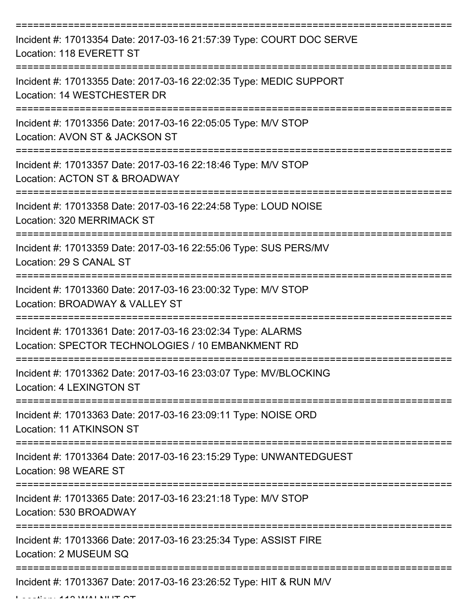| Incident #: 17013354 Date: 2017-03-16 21:57:39 Type: COURT DOC SERVE<br>Location: 118 EVERETT ST                                  |
|-----------------------------------------------------------------------------------------------------------------------------------|
| Incident #: 17013355 Date: 2017-03-16 22:02:35 Type: MEDIC SUPPORT<br>Location: 14 WESTCHESTER DR                                 |
| Incident #: 17013356 Date: 2017-03-16 22:05:05 Type: M/V STOP<br>Location: AVON ST & JACKSON ST                                   |
| Incident #: 17013357 Date: 2017-03-16 22:18:46 Type: M/V STOP<br>Location: ACTON ST & BROADWAY                                    |
| Incident #: 17013358 Date: 2017-03-16 22:24:58 Type: LOUD NOISE<br>Location: 320 MERRIMACK ST                                     |
| :=================================<br>Incident #: 17013359 Date: 2017-03-16 22:55:06 Type: SUS PERS/MV<br>Location: 29 S CANAL ST |
| Incident #: 17013360 Date: 2017-03-16 23:00:32 Type: M/V STOP<br>Location: BROADWAY & VALLEY ST                                   |
| Incident #: 17013361 Date: 2017-03-16 23:02:34 Type: ALARMS<br>Location: SPECTOR TECHNOLOGIES / 10 EMBANKMENT RD                  |
| Incident #: 17013362 Date: 2017-03-16 23:03:07 Type: MV/BLOCKING<br>Location: 4 LEXINGTON ST                                      |
| Incident #: 17013363 Date: 2017-03-16 23:09:11 Type: NOISE ORD<br>Location: 11 ATKINSON ST                                        |
| Incident #: 17013364 Date: 2017-03-16 23:15:29 Type: UNWANTEDGUEST<br>Location: 98 WEARE ST                                       |
| Incident #: 17013365 Date: 2017-03-16 23:21:18 Type: M/V STOP<br>Location: 530 BROADWAY                                           |
| Incident #: 17013366 Date: 2017-03-16 23:25:34 Type: ASSIST FIRE<br>Location: 2 MUSEUM SQ                                         |
| Incident #: 17013367 Date: 2017-03-16 23:26:52 Type: HIT & RUN M/V                                                                |

 $L = L L L L L L$   $A A \cap M I A L$  with  $\tau \cap \tau$